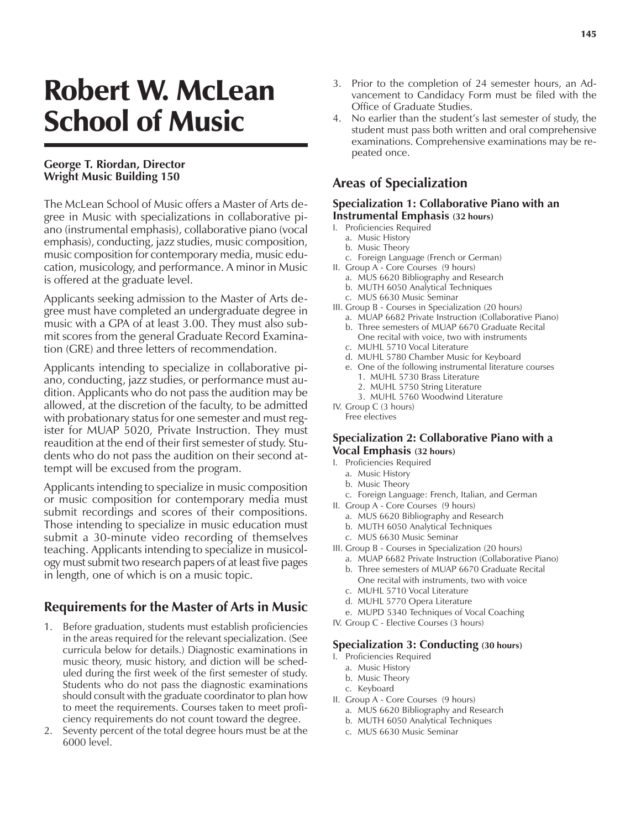# Robert W. McLean School of Music

### **George T. Riordan, Director Wright Music Building 150**

The McLean School of Music offers a Master of Arts degree in Music with specializations in collaborative piano (instrumental emphasis), collaborative piano (vocal emphasis), conducting, jazz studies, music composition, music composition for contemporary media, music education, musicology, and performance. A minor in Music is offered at the graduate level.

Applicants seeking admission to the Master of Arts degree must have completed an undergraduate degree in music with a GPA of at least 3.00. They must also submit scores from the general Graduate Record Examination (GRE) and three letters of recommendation.

Applicants intending to specialize in collaborative piano, conducting, jazz studies, or performance must audition. Applicants who do not pass the audition may be allowed, at the discretion of the faculty, to be admitted with probationary status for one semester and must register for MUAP 5020, Private Instruction. They must reaudition at the end of their first semester of study. Students who do not pass the audition on their second attempt will be excused from the program.

Applicants intending to specialize in music composition or music composition for contemporary media must submit recordings and scores of their compositions. Those intending to specialize in music education must submit a 30-minute video recording of themselves teaching. Applicants intending to specialize in musicology must submit two research papers of at least five pages in length, one of which is on a music topic.

# **Requirements for the Master of Arts in Music**

- 1. Before graduation, students must establish proficiencies in the areas required for the relevant specialization. (See curricula below for details.) Diagnostic examinations in music theory, music history, and diction will be scheduled during the first week of the first semester of study. Students who do not pass the diagnostic examinations should consult with the graduate coordinator to plan how to meet the requirements. Courses taken to meet proficiency requirements do not count toward the degree.
- 2. Seventy percent of the total degree hours must be at the 6000 level.
- 3. Prior to the completion of 24 semester hours, an Advancement to Candidacy Form must be filed with the Office of Graduate Studies.
- 4. No earlier than the student's last semester of study, the student must pass both written and oral comprehensive examinations. Comprehensive examinations may be repeated once.

# **Areas of Specialization**

#### **Specialization 1: Collaborative Piano with an Instrumental Emphasis (32 hours)**

- I. Proficiencies Required
	- a. Music History
	- b. Music Theory
	- c. Foreign Language (French or German)
- II. Group A Core Courses (9 hours)
	- a. MUS 6620 Bibliography and Research
	- b. MUTH 6050 Analytical Techniques
	- c. MUS 6630 Music Seminar
- III. Group B Courses in Specialization (20 hours)
	- a. MUAP 6682 Private Instruction (Collaborative Piano) b. Three semesters of MUAP 6670 Graduate Recital One recital with voice, two with instruments
	- c. MUHL 5710 Vocal Literature
	- d. MUHL 5780 Chamber Music for Keyboard
	- e. One of the following instrumental literature courses 1. MUHL 5730 Brass Literature
		- 2. MUHL 5750 String Literature
		- 3. MUHL 5760 Woodwind Literature
- IV. Group C (3 hours)
	- Free electives

#### **Specialization 2: Collaborative Piano with a Vocal Emphasis (32 hours)**

- I. Proficiencies Required
	- a. Music History
	- b. Music Theory
	- c. Foreign Language: French, Italian, and German
- II. Group A Core Courses (9 hours)
	- a. MUS 6620 Bibliography and Research
	- b. MUTH 6050 Analytical Techniques
	- c. MUS 6630 Music Seminar
- III. Group B Courses in Specialization (20 hours)
	- a. MUAP 6682 Private Instruction (Collaborative Piano)
	- b. Three semesters of MUAP 6670 Graduate Recital One recital with instruments, two with voice
	- c. MUHL 5710 Vocal Literature
	- d. MUHL 5770 Opera Literature
	- e. MUPD 5340 Techniques of Vocal Coaching
- IV. Group C Elective Courses (3 hours)

#### **Specialization 3: Conducting (30 hours)**

- I. Proficiencies Required
	- a. Music History
	- b. Music Theory
	- c. Keyboard
- II. Group A Core Courses (9 hours)
	- a. MUS 6620 Bibliography and Research
	- b. MUTH 6050 Analytical Techniques
	- c. MUS 6630 Music Seminar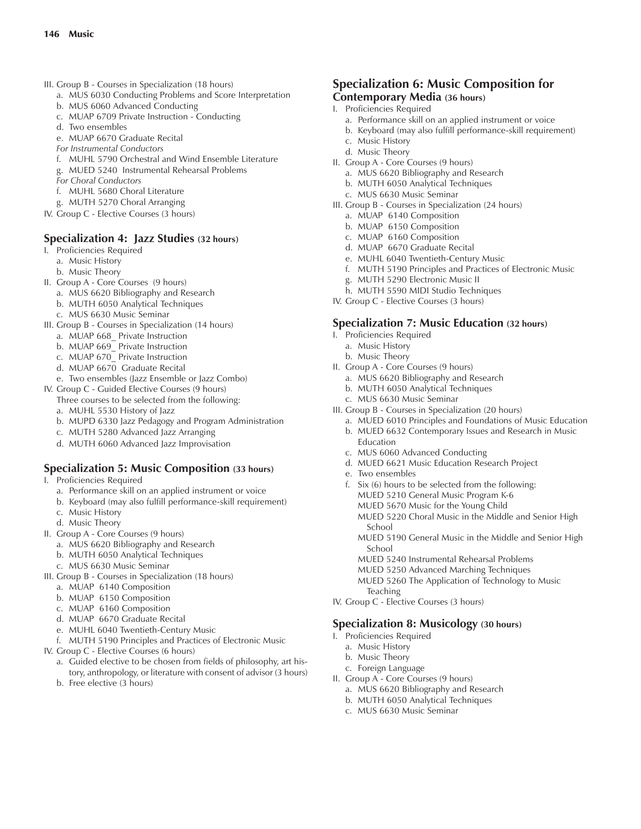- III. Group B Courses in Specialization (18 hours)
	- a. MUS 6030 Conducting Problems and Score Interpretation
	- b. MUS 6060 Advanced Conducting
	- c. MUAP 6709 Private Instruction Conducting
	- d. Two ensembles
	- e. MUAP 6670 Graduate Recital
	- *For Instrumental Conductors*
	- f. MUHL 5790 Orchestral and Wind Ensemble Literature
	- g. MUED 5240 Instrumental Rehearsal Problems
	- *For Choral Conductors*
	- f. MUHL 5680 Choral Literature
	- g. MUTH 5270 Choral Arranging
- IV. Group C Elective Courses (3 hours)

#### **Specialization 4: Jazz Studies (32 hours)**

- I. Proficiencies Required
	- a. Music History
	- b. Music Theory
- II. Group A Core Courses (9 hours)
	- a. MUS 6620 Bibliography and Research
	- b. MUTH 6050 Analytical Techniques
	- c. MUS 6630 Music Seminar
- III. Group B Courses in Specialization (14 hours)
	- a. MUAP 668 Private Instruction
	- b. MUAP 669 Private Instruction
	- c. MUAP 670\_ Private Instruction
	- d. MUAP 6670 Graduate Recital
	- e. Two ensembles (Jazz Ensemble or Jazz Combo)
- IV. Group C Guided Elective Courses (9 hours)
	- Three courses to be selected from the following: a. MUHL 5530 History of Jazz
	- b. MUPD 6330 Jazz Pedagogy and Program Administration
	- c. MUTH 5280 Advanced Jazz Arranging
	- d. MUTH 6060 Advanced Jazz Improvisation

#### **Specialization 5: Music Composition (33 hours)**

- I. Proficiencies Required
	- a. Performance skill on an applied instrument or voice
	- b. Keyboard (may also fulfill performance-skill requirement)
	- c. Music History
	- d. Music Theory
- II. Group A Core Courses (9 hours)
- a. MUS 6620 Bibliography and Research
- b. MUTH 6050 Analytical Techniques
- c. MUS 6630 Music Seminar
- III. Group B Courses in Specialization (18 hours)
	- a. MUAP 6140 Composition
	- b. MUAP 6150 Composition
	- c. MUAP 6160 Composition
	- d. MUAP 6670 Graduate Recital
	- e. MUHL 6040 Twentieth-Century Music
	- f. MUTH 5190 Principles and Practices of Electronic Music
- IV. Group C Elective Courses (6 hours)
	- a. Guided elective to be chosen from fields of philosophy, art history, anthropology, or literature with consent of advisor (3 hours)
	- b. Free elective (3 hours)

#### **Specialization 6: Music Composition for Contemporary Media (36 hours)**

- I. Proficiencies Required
	- a. Performance skill on an applied instrument or voice
	- b. Keyboard (may also fulfill performance-skill requirement)
	- c. Music History
	- d. Music Theory
- II. Group A Core Courses (9 hours)
	- a. MUS 6620 Bibliography and Research
	- b. MUTH 6050 Analytical Techniques
	- c. MUS 6630 Music Seminar
- III. Group B Courses in Specialization (24 hours)
	- a. MUAP 6140 Composition
	- b. MUAP 6150 Composition
	- c. MUAP 6160 Composition
	- d. MUAP 6670 Graduate Recital
	- e. MUHL 6040 Twentieth-Century Music
	- f. MUTH 5190 Principles and Practices of Electronic Music
	- g. MUTH 5290 Electronic Music II
	- h. MUTH 5590 MIDI Studio Techniques
- IV. Group C Elective Courses (3 hours)

#### **Specialization 7: Music Education (32 hours)**

- I. Proficiencies Required
	- a. Music History
	- b. Music Theory
- II. Group A Core Courses (9 hours)
	- a. MUS 6620 Bibliography and Research
	- b. MUTH 6050 Analytical Techniques
	- c. MUS 6630 Music Seminar
- III. Group B Courses in Specialization (20 hours)
	- a. MUED 6010 Principles and Foundations of Music Education
	- b. MUED 6632 Contemporary Issues and Research in Music Education
	- c. MUS 6060 Advanced Conducting
	- d. MUED 6621 Music Education Research Project
	- e. Two ensembles
	- f. Six (6) hours to be selected from the following: MUED 5210 General Music Program K-6 MUED 5670 Music for the Young Child MUED 5220 Choral Music in the Middle and Senior High School
		- MUED 5190 General Music in the Middle and Senior High School
		- MUED 5240 Instrumental Rehearsal Problems
		- MUED 5250 Advanced Marching Techniques
		- MUED 5260 The Application of Technology to Music **Teaching**
- IV. Group C Elective Courses (3 hours)

#### **Specialization 8: Musicology (30 hours)**

- I. Proficiencies Required
	- a. Music History
	- b. Music Theory
	- c. Foreign Language
- II. Group A Core Courses (9 hours)

c. MUS 6630 Music Seminar

a. MUS 6620 Bibliography and Research b. MUTH 6050 Analytical Techniques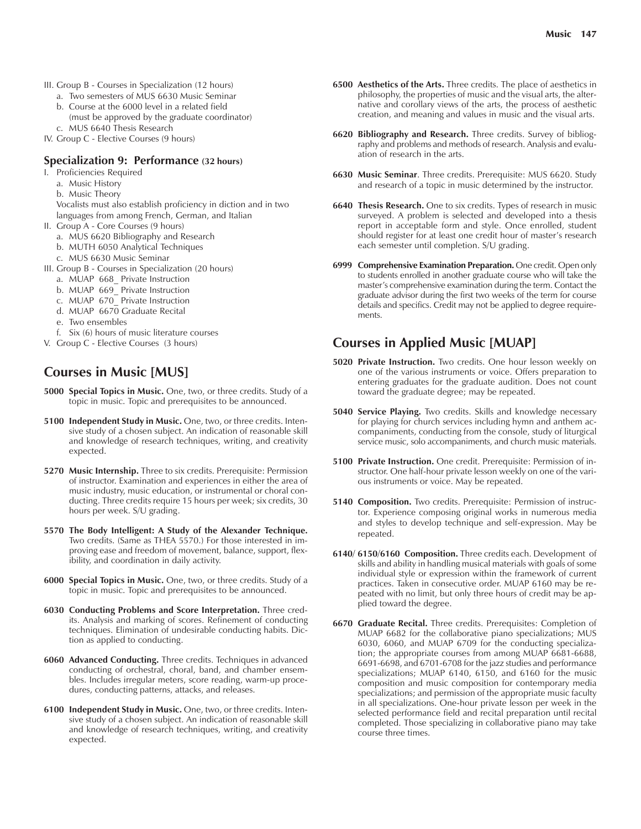- III. Group B Courses in Specialization (12 hours)
	- a. Two semesters of MUS 6630 Music Seminar
	- b. Course at the 6000 level in a related field (must be approved by the graduate coordinator)
	- c. MUS 6640 Thesis Research
- IV. Group C Elective Courses (9 hours)

#### **Specialization 9: Performance (32 hours)**

- I. Proficiencies Required
	- a. Music History
	- b. Music Theory
	- Vocalists must also establish proficiency in diction and in two languages from among French, German, and Italian
- II. Group A Core Courses (9 hours)
	- a. MUS 6620 Bibliography and Research
	- b. MUTH 6050 Analytical Techniques
	- c. MUS 6630 Music Seminar
- III. Group B Courses in Specialization (20 hours)
	- a. MUAP 668\_ Private Instruction
	- b. MUAP 669 Private Instruction
	- c. MUAP 670\_ Private Instruction
	- d. MUAP 6670 Graduate Recital
	- e. Two ensembles
	- f. Six (6) hours of music literature courses
- V. Group C Elective Courses (3 hours)

## **Courses in Music [MUS]**

- **5000 Special Topics in Music.** One, two, or three credits. Study of a topic in music. Topic and prerequisites to be announced.
- **5100 Independent Study in Music.** One, two, or three credits. Intensive study of a chosen subject. An indication of reasonable skill and knowledge of research techniques, writing, and creativity expected.
- **5270 Music Internship.** Three to six credits. Prerequisite: Permission of instructor. Examination and experiences in either the area of music industry, music education, or instrumental or choral conducting. Three credits require 15 hours per week; six credits, 30 hours per week. S/U grading.
- **5570 The Body Intelligent: A Study of the Alexander Technique.** Two credits. (Same as THEA 5570.) For those interested in improving ease and freedom of movement, balance, support, flexibility, and coordination in daily activity.
- **6000 Special Topics in Music.** One, two, or three credits. Study of a topic in music. Topic and prerequisites to be announced.
- **6030 Conducting Problems and Score Interpretation.** Three credits. Analysis and marking of scores. Refinement of conducting techniques. Elimination of undesirable conducting habits. Diction as applied to conducting.
- **6060 Advanced Conducting.** Three credits. Techniques in advanced conducting of orchestral, choral, band, and chamber ensembles. Includes irregular meters, score reading, warm-up procedures, conducting patterns, attacks, and releases.
- **6100 Independent Study in Music.** One, two, or three credits. Intensive study of a chosen subject. An indication of reasonable skill and knowledge of research techniques, writing, and creativity expected.
- **6500 Aesthetics of the Arts.** Three credits. The place of aesthetics in philosophy, the properties of music and the visual arts, the alternative and corollary views of the arts, the process of aesthetic creation, and meaning and values in music and the visual arts.
- **6620 Bibliography and Research.** Three credits. Survey of bibliography and problems and methods of research. Analysis and evaluation of research in the arts.
- **6630 Music Seminar**. Three credits. Prerequisite: MUS 6620. Study and research of a topic in music determined by the instructor.
- **6640 Thesis Research.** One to six credits. Types of research in music surveyed. A problem is selected and developed into a thesis report in acceptable form and style. Once enrolled, student should register for at least one credit hour of master's research each semester until completion. S/U grading.
- **6999 Comprehensive Examination Preparation.** One credit. Open only to students enrolled in another graduate course who will take the master's comprehensive examination during the term. Contact the graduate advisor during the first two weeks of the term for course details and specifics. Credit may not be applied to degree requirements.

## **Courses in Applied Music [MUAP]**

- **5020 Private Instruction.** Two credits. One hour lesson weekly on one of the various instruments or voice. Offers preparation to entering graduates for the graduate audition. Does not count toward the graduate degree; may be repeated.
- **5040 Service Playing.** Two credits. Skills and knowledge necessary for playing for church services including hymn and anthem accompaniments, conducting from the console, study of liturgical service music, solo accompaniments, and church music materials.
- **5100 Private Instruction.** One credit. Prerequisite: Permission of instructor. One half-hour private lesson weekly on one of the various instruments or voice. May be repeated.
- **5140 Composition.** Two credits. Prerequisite: Permission of instructor. Experience composing original works in numerous media and styles to develop technique and self-expression. May be repeated.
- **6140/ 6150/6160 Composition.** Three credits each. Development of skills and ability in handling musical materials with goals of some individual style or expression within the framework of current practices. Taken in consecutive order. MUAP 6160 may be repeated with no limit, but only three hours of credit may be applied toward the degree.
- **6670 Graduate Recital.** Three credits. Prerequisites: Completion of MUAP 6682 for the collaborative piano specializations; MUS 6030, 6060, and MUAP 6709 for the conducting specialization; the appropriate courses from among MUAP 6681-6688, 6691-6698, and 6701-6708 for the jazz studies and performance specializations; MUAP 6140, 6150, and 6160 for the music composition and music composition for contemporary media specializations; and permission of the appropriate music faculty in all specializations. One-hour private lesson per week in the selected performance field and recital preparation until recital completed. Those specializing in collaborative piano may take course three times.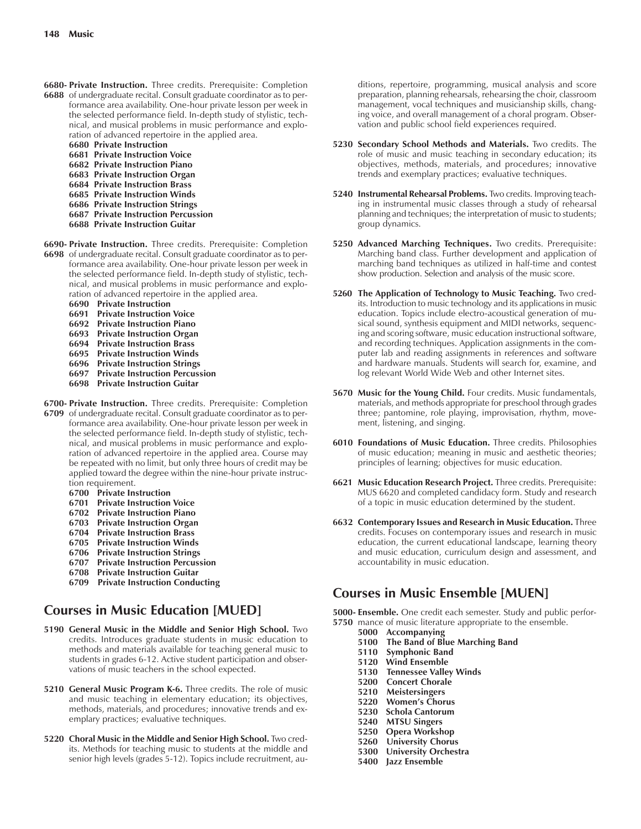- **6680- Private Instruction.** Three credits. Prerequisite: Completion
- **6688** of undergraduate recital. Consult graduate coordinator as to performance area availability. One-hour private lesson per week in the selected performance field. In-depth study of stylistic, technical, and musical problems in music performance and exploration of advanced repertoire in the applied area.
	- **6680 Private Instruction**
	- **6681 Private Instruction Voice**
	- **6682 Private Instruction Piano**
	- **6683 Private Instruction Organ**
	- **6684 Private Instruction Brass**
	- **6685 Private Instruction Winds 6686 Private Instruction Strings**
	- **6687 Private Instruction Percussion**
	- **6688 Private Instruction Guitar**
- **6690- Private Instruction.** Three credits. Prerequisite: Completion **6698** of undergraduate recital. Consult graduate coordinator as to performance area availability. One-hour private lesson per week in the selected performance field. In-depth study of stylistic, technical, and musical problems in music performance and exploration of advanced repertoire in the applied area.
	- **6690 Private Instruction**
	- **6691 Private Instruction Voice**
	- **6692 Private Instruction Piano**
	- **6693 Private Instruction Organ**
	- **6694 Private Instruction Brass**
	- **6695 Private Instruction Winds**
	- **6696 Private Instruction Strings**
	- **6697 Private Instruction Percussion**
	- **6698 Private Instruction Guitar**
- **6700- Private Instruction.** Three credits. Prerequisite: Completion **6709** of undergraduate recital. Consult graduate coordinator as to performance area availability. One-hour private lesson per week in the selected performance field. In-depth study of stylistic, technical, and musical problems in music performance and exploration of advanced repertoire in the applied area. Course may be repeated with no limit, but only three hours of credit may be applied toward the degree within the nine-hour private instruction requirement.
	- **6700 Private Instruction**
	- **6701 Private Instruction Voice**
	- **6702 Private Instruction Piano**
	- **6703 Private Instruction Organ**
	- **6704 Private Instruction Brass**
	- **6705 Private Instruction Winds**
	- **6706 Private Instruction Strings**
	- **6707 Private Instruction Percussion**
	- **6708 Private Instruction Guitar**
	- **6709 Private Instruction Conducting**

## **Courses in Music Education [MUED]**

- **5190 General Music in the Middle and Senior High School.** Two credits. Introduces graduate students in music education to methods and materials available for teaching general music to students in grades 6-12. Active student participation and observations of music teachers in the school expected.
- **5210 General Music Program K-6.** Three credits. The role of music and music teaching in elementary education; its objectives, methods, materials, and procedures; innovative trends and exemplary practices; evaluative techniques.
- **5220 Choral Music in the Middle and Senior High School.** Two credits. Methods for teaching music to students at the middle and senior high levels (grades 5-12). Topics include recruitment, au-

ditions, repertoire, programming, musical analysis and score preparation, planning rehearsals, rehearsing the choir, classroom management, vocal techniques and musicianship skills, changing voice, and overall management of a choral program. Observation and public school field experiences required.

- **5230 Secondary School Methods and Materials.** Two credits. The role of music and music teaching in secondary education; its objectives, methods, materials, and procedures; innovative trends and exemplary practices; evaluative techniques.
- **5240 Instrumental Rehearsal Problems.** Two credits. Improving teaching in instrumental music classes through a study of rehearsal planning and techniques; the interpretation of music to students; group dynamics.
- **5250 Advanced Marching Techniques.** Two credits. Prerequisite: Marching band class. Further development and application of marching band techniques as utilized in half-time and contest show production. Selection and analysis of the music score.
- **5260 The Application of Technology to Music Teaching.** Two credits. Introduction to music technology and its applications in music education. Topics include electro-acoustical generation of musical sound, synthesis equipment and MIDI networks, sequencing and scoring software, music education instructional software, and recording techniques. Application assignments in the computer lab and reading assignments in references and software and hardware manuals. Students will search for, examine, and log relevant World Wide Web and other Internet sites.
- **5670 Music for the Young Child.** Four credits. Music fundamentals, materials, and methods appropriate for preschool through grades three; pantomine, role playing, improvisation, rhythm, movement, listening, and singing.
- **6010 Foundations of Music Education.** Three credits. Philosophies of music education; meaning in music and aesthetic theories; principles of learning; objectives for music education.
- **6621 Music Education Research Project.** Three credits. Prerequisite: MUS 6620 and completed candidacy form. Study and research of a topic in music education determined by the student.
- **6632 Contemporary Issues and Research in Music Education.** Three credits. Focuses on contemporary issues and research in music education, the current educational landscape, learning theory and music education, curriculum design and assessment, and accountability in music education.

## **Courses in Music Ensemble [MUEN]**

**5000- Ensemble.** One credit each semester. Study and public perfor-**5750** mance of music literature appropriate to the ensemble.

- **5000 Accompanying**
- **5100 The Band of Blue Marching Band**
- **5110 Symphonic Band**
- **5120 Wind Ensemble**
- **5130 Tennessee Valley Winds**
- **5200 Concert Chorale**
- **5210 Meistersingers**
- **5220 Womenís Chorus**
- **5230 Schola Cantorum**
- **5240 MTSU Singers**
- **5250 Opera Workshop**
- **5260 University Chorus 5300 University Orchestra**
- **5400 Jazz Ensemble**
-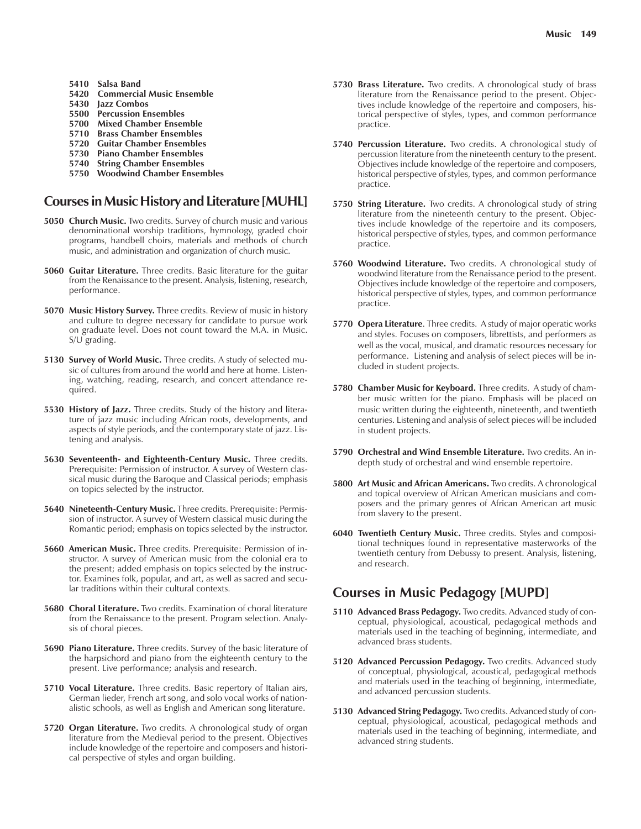- **5410 Salsa Band**
- **5420 Commercial Music Ensemble**
- **5430 Jazz Combos**
- **5500 Percussion Ensembles**
- **5700 Mixed Chamber Ensemble**
- **5710 Brass Chamber Ensembles**
- **5720 Guitar Chamber Ensembles**
- **5730 Piano Chamber Ensembles**
- **5740 String Chamber Ensembles**
- **5750 Woodwind Chamber Ensembles**

#### **Courses in Music History and Literature [MUHL]**

- **5050 Church Music.** Two credits. Survey of church music and various denominational worship traditions, hymnology, graded choir programs, handbell choirs, materials and methods of church music, and administration and organization of church music.
- **5060 Guitar Literature.** Three credits. Basic literature for the guitar from the Renaissance to the present. Analysis, listening, research, performance.
- **5070 Music History Survey.** Three credits. Review of music in history and culture to degree necessary for candidate to pursue work on graduate level. Does not count toward the M.A. in Music. S/U grading.
- **5130 Survey of World Music.** Three credits. A study of selected music of cultures from around the world and here at home. Listening, watching, reading, research, and concert attendance required.
- **5530 History of Jazz.** Three credits. Study of the history and literature of jazz music including African roots, developments, and aspects of style periods, and the contemporary state of jazz. Listening and analysis.
- **5630 Seventeenth- and Eighteenth-Century Music.** Three credits. Prerequisite: Permission of instructor. A survey of Western classical music during the Baroque and Classical periods; emphasis on topics selected by the instructor.
- **5640 Nineteenth-Century Music.** Three credits. Prerequisite: Permission of instructor. A survey of Western classical music during the Romantic period; emphasis on topics selected by the instructor.
- **5660 American Music.** Three credits. Prerequisite: Permission of instructor. A survey of American music from the colonial era to the present; added emphasis on topics selected by the instructor. Examines folk, popular, and art, as well as sacred and secular traditions within their cultural contexts.
- **5680 Choral Literature.** Two credits. Examination of choral literature from the Renaissance to the present. Program selection. Analysis of choral pieces.
- **5690 Piano Literature.** Three credits. Survey of the basic literature of the harpsichord and piano from the eighteenth century to the present. Live performance; analysis and research.
- **5710 Vocal Literature.** Three credits. Basic repertory of Italian airs, German lieder, French art song, and solo vocal works of nationalistic schools, as well as English and American song literature.
- **5720 Organ Literature.** Two credits. A chronological study of organ literature from the Medieval period to the present. Objectives include knowledge of the repertoire and composers and historical perspective of styles and organ building.
- **5730 Brass Literature.** Two credits. A chronological study of brass literature from the Renaissance period to the present. Objectives include knowledge of the repertoire and composers, historical perspective of styles, types, and common performance practice.
- **5740 Percussion Literature.** Two credits. A chronological study of percussion literature from the nineteenth century to the present. Objectives include knowledge of the repertoire and composers, historical perspective of styles, types, and common performance practice.
- **5750 String Literature.** Two credits. A chronological study of string literature from the nineteenth century to the present. Objectives include knowledge of the repertoire and its composers, historical perspective of styles, types, and common performance practice.
- **5760 Woodwind Literature.** Two credits. A chronological study of woodwind literature from the Renaissance period to the present. Objectives include knowledge of the repertoire and composers, historical perspective of styles, types, and common performance practice.
- **5770 Opera Literature**. Three credits. A study of major operatic works and styles. Focuses on composers, librettists, and performers as well as the vocal, musical, and dramatic resources necessary for performance. Listening and analysis of select pieces will be included in student projects.
- **5780 Chamber Music for Keyboard.** Three credits. A study of chamber music written for the piano. Emphasis will be placed on music written during the eighteenth, nineteenth, and twentieth centuries. Listening and analysis of select pieces will be included in student projects.
- **5790 Orchestral and Wind Ensemble Literature.** Two credits. An indepth study of orchestral and wind ensemble repertoire.
- **5800 Art Music and African Americans.** Two credits. A chronological and topical overview of African American musicians and composers and the primary genres of African American art music from slavery to the present.
- **6040 Twentieth Century Music.** Three credits. Styles and compositional techniques found in representative masterworks of the twentieth century from Debussy to present. Analysis, listening, and research.

## **Courses in Music Pedagogy [MUPD]**

- **5110 Advanced Brass Pedagogy.** Two credits. Advanced study of conceptual, physiological, acoustical, pedagogical methods and materials used in the teaching of beginning, intermediate, and advanced brass students.
- **5120 Advanced Percussion Pedagogy.** Two credits. Advanced study of conceptual, physiological, acoustical, pedagogical methods and materials used in the teaching of beginning, intermediate, and advanced percussion students.
- **5130 Advanced String Pedagogy.** Two credits. Advanced study of conceptual, physiological, acoustical, pedagogical methods and materials used in the teaching of beginning, intermediate, and advanced string students.